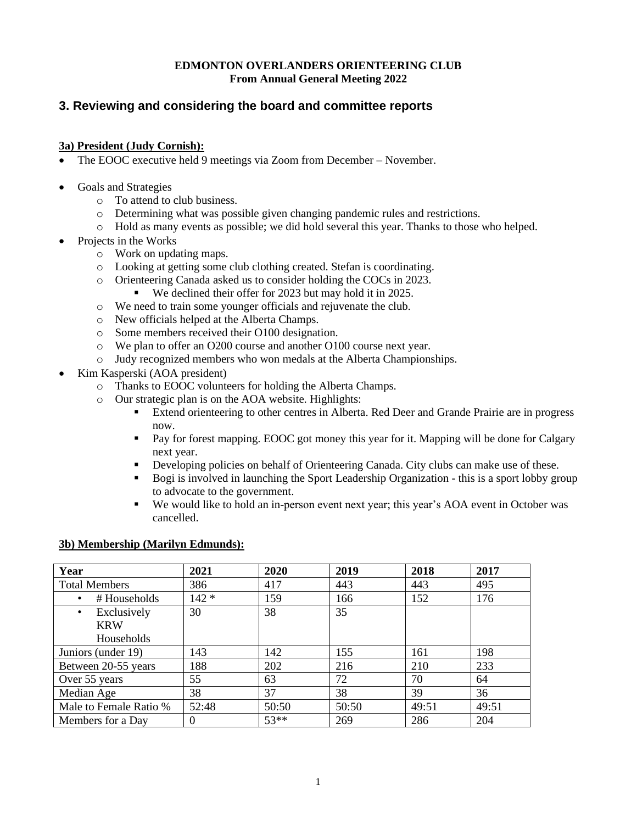#### **EDMONTON OVERLANDERS ORIENTEERING CLUB From Annual General Meeting 2022**

# **3. Reviewing and considering the board and committee reports**

#### **3a) President (Judy Cornish):**

- The EOOC executive held 9 meetings via Zoom from December November.
- Goals and Strategies
	- o To attend to club business.
	- o Determining what was possible given changing pandemic rules and restrictions.
	- o Hold as many events as possible; we did hold several this year. Thanks to those who helped.
- Projects in the Works
	- o Work on updating maps.
	- o Looking at getting some club clothing created. Stefan is coordinating.
	- o Orienteering Canada asked us to consider holding the COCs in 2023.
		- We declined their offer for 2023 but may hold it in 2025.
	- o We need to train some younger officials and rejuvenate the club.
	- o New officials helped at the Alberta Champs.
	- o Some members received their O100 designation.
	- o We plan to offer an O200 course and another O100 course next year.
	- o Judy recognized members who won medals at the Alberta Championships.
- Kim Kasperski (AOA president)
	- o Thanks to EOOC volunteers for holding the Alberta Champs.
	- o Our strategic plan is on the AOA website. Highlights:
		- Extend orienteering to other centres in Alberta. Red Deer and Grande Prairie are in progress now.
		- Pay for forest mapping. EOOC got money this year for it. Mapping will be done for Calgary next year.
		- **•** Developing policies on behalf of Orienteering Canada. City clubs can make use of these.
		- Bogi is involved in launching the Sport Leadership Organization this is a sport lobby group to advocate to the government.
		- We would like to hold an in-person event next year; this year's AOA event in October was cancelled.

#### **3b) Membership (Marilyn Edmunds):**

| Year                   | 2021     | 2020   | 2019  | 2018  | 2017  |
|------------------------|----------|--------|-------|-------|-------|
| <b>Total Members</b>   | 386      | 417    | 443   | 443   | 495   |
| # Households           | $142 *$  | 159    | 166   | 152   | 176   |
| Exclusively            | 30       | 38     | 35    |       |       |
| <b>KRW</b>             |          |        |       |       |       |
| Households             |          |        |       |       |       |
| Juniors (under 19)     | 143      | 142    | 155   | 161   | 198   |
| Between 20-55 years    | 188      | 202    | 216   | 210   | 233   |
| Over 55 years          | 55       | 63     | 72    | 70    | 64    |
| Median Age             | 38       | 37     | 38    | 39    | 36    |
| Male to Female Ratio % | 52:48    | 50:50  | 50:50 | 49:51 | 49:51 |
| Members for a Day      | $\theta$ | $53**$ | 269   | 286   | 204   |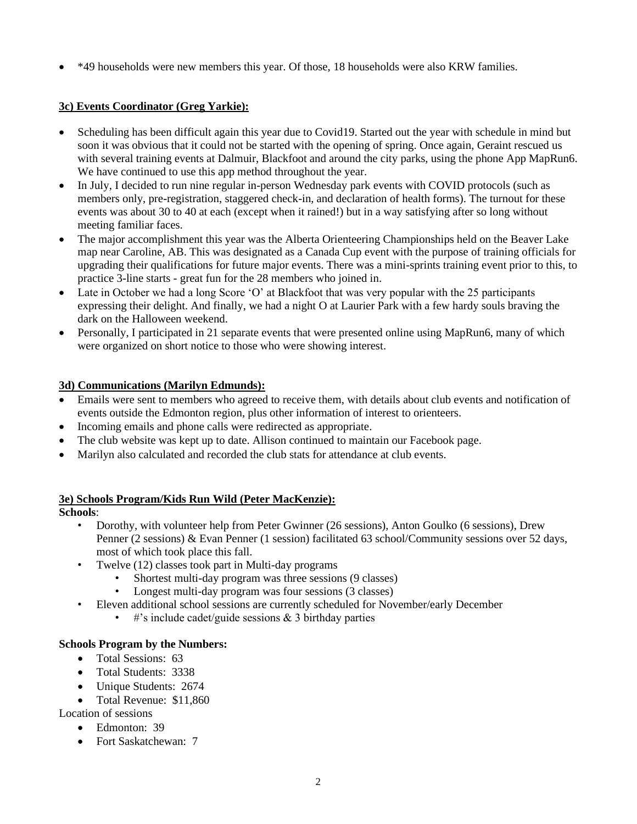• \*49 households were new members this year. Of those, 18 households were also KRW families.

# **3c) Events Coordinator (Greg Yarkie):**

- Scheduling has been difficult again this year due to Covid19. Started out the year with schedule in mind but soon it was obvious that it could not be started with the opening of spring. Once again, Geraint rescued us with several training events at Dalmuir, Blackfoot and around the city parks, using the phone App MapRun6. We have continued to use this app method throughout the year.
- In July, I decided to run nine regular in-person Wednesday park events with COVID protocols (such as members only, pre-registration, staggered check-in, and declaration of health forms). The turnout for these events was about 30 to 40 at each (except when it rained!) but in a way satisfying after so long without meeting familiar faces.
- The major accomplishment this year was the Alberta Orienteering Championships held on the Beaver Lake map near Caroline, AB. This was designated as a Canada Cup event with the purpose of training officials for upgrading their qualifications for future major events. There was a mini-sprints training event prior to this, to practice 3-line starts - great fun for the 28 members who joined in.
- Late in October we had a long Score 'O' at Blackfoot that was very popular with the 25 participants expressing their delight. And finally, we had a night O at Laurier Park with a few hardy souls braving the dark on the Halloween weekend.
- Personally, I participated in 21 separate events that were presented online using MapRun6, many of which were organized on short notice to those who were showing interest.

## **3d) Communications (Marilyn Edmunds):**

- Emails were sent to members who agreed to receive them, with details about club events and notification of events outside the Edmonton region, plus other information of interest to orienteers.
- Incoming emails and phone calls were redirected as appropriate.
- The club website was kept up to date. Allison continued to maintain our Facebook page.
- Marilyn also calculated and recorded the club stats for attendance at club events.

# **3e) Schools Program/Kids Run Wild (Peter MacKenzie):**

# **Schools**:

- Dorothy, with volunteer help from Peter Gwinner (26 sessions), Anton Goulko (6 sessions), Drew Penner (2 sessions) & Evan Penner (1 session) facilitated 63 school/Community sessions over 52 days, most of which took place this fall.
- Twelve (12) classes took part in Multi-day programs
	- Shortest multi-day program was three sessions (9 classes)
	- Longest multi-day program was four sessions (3 classes)
- Eleven additional school sessions are currently scheduled for November/early December
	- #'s include cadet/guide sessions  $& 3$  birthday parties

### **Schools Program by the Numbers:**

- Total Sessions: 63
- Total Students: 3338
- Unique Students: 2674
- Total Revenue: \$11,860

# Location of sessions

- Edmonton: 39
- Fort Saskatchewan: 7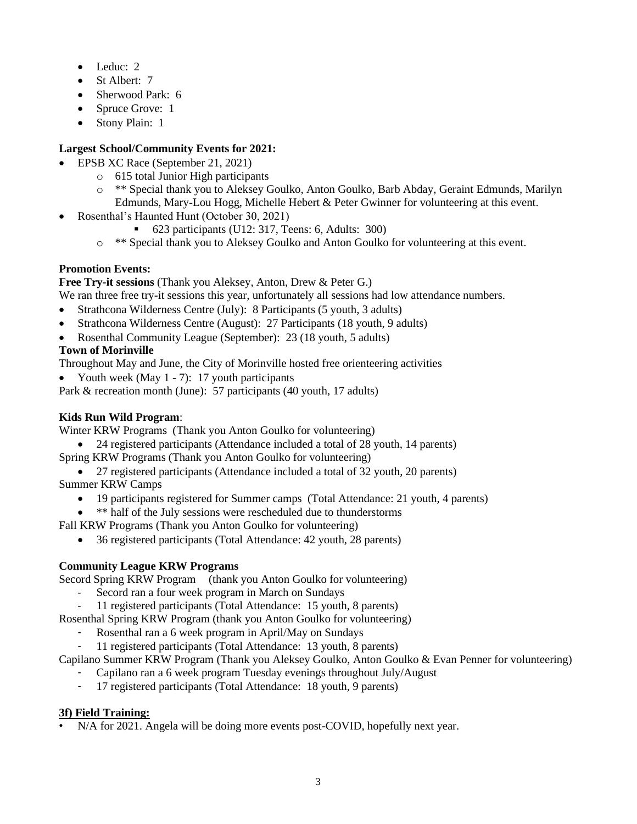- Leduc: 2
- St Albert: 7
- Sherwood Park: 6
- Spruce Grove: 1
- Stony Plain: 1

# **Largest School/Community Events for 2021:**

- EPSB XC Race (September 21, 2021)
	- o 615 total Junior High participants
	- o \*\* Special thank you to Aleksey Goulko, Anton Goulko, Barb Abday, Geraint Edmunds, Marilyn Edmunds, Mary-Lou Hogg, Michelle Hebert & Peter Gwinner for volunteering at this event.
- Rosenthal's Haunted Hunt (October 30, 2021)
	- $\bullet$  623 participants (U12: 317, Teens: 6, Adults: 300)
	- o \*\* Special thank you to Aleksey Goulko and Anton Goulko for volunteering at this event.

## **Promotion Events:**

### **Free Try-it sessions** (Thank you Aleksey, Anton, Drew & Peter G.)

We ran three free try-it sessions this year, unfortunately all sessions had low attendance numbers.

- Strathcona Wilderness Centre (July): 8 Participants (5 youth, 3 adults)
- Strathcona Wilderness Centre (August): 27 Participants (18 youth, 9 adults)
- Rosenthal Community League (September): 23 (18 youth, 5 adults)

## **Town of Morinville**

Throughout May and June, the City of Morinville hosted free orienteering activities

• Youth week (May 1 - 7): 17 youth participants

Park & recreation month (June): 57 participants (40 youth, 17 adults)

# **Kids Run Wild Program**:

Winter KRW Programs (Thank you Anton Goulko for volunteering)

• 24 registered participants (Attendance included a total of 28 youth, 14 parents)

- Spring KRW Programs (Thank you Anton Goulko for volunteering)
- 27 registered participants (Attendance included a total of 32 youth, 20 parents) Summer KRW Camps
	- 19 participants registered for Summer camps (Total Attendance: 21 youth, 4 parents)
	- \*\* half of the July sessions were rescheduled due to thunderstorms
- Fall KRW Programs (Thank you Anton Goulko for volunteering)
	- 36 registered participants (Total Attendance: 42 youth, 28 parents)

### **Community League KRW Programs**

Secord Spring KRW Program (thank you Anton Goulko for volunteering)

- Secord ran a four week program in March on Sundays
- 11 registered participants (Total Attendance: 15 youth, 8 parents)

Rosenthal Spring KRW Program (thank you Anton Goulko for volunteering)

- Rosenthal ran a 6 week program in April/May on Sundays
- 11 registered participants (Total Attendance: 13 youth, 8 parents)

Capilano Summer KRW Program (Thank you Aleksey Goulko, Anton Goulko & Evan Penner for volunteering)

- Capilano ran a 6 week program Tuesday evenings throughout July/August<br>- 17 registered participants (Total Attendance: 18 youth 9 parents)
- 17 registered participants (Total Attendance: 18 youth, 9 parents)

# **3f) Field Training:**

• N/A for 2021. Angela will be doing more events post-COVID, hopefully next year.